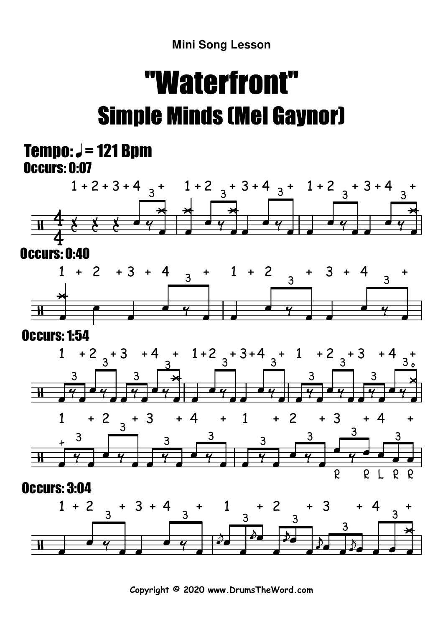## "Waterfront"Simple Minds (Mel Gaynor)

## Occurs: 0:07 Tempo:  $J = 121$  Bpm